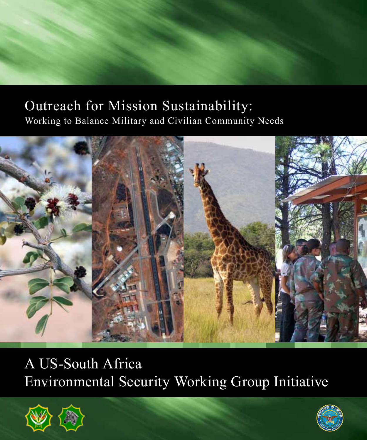# Outreach for Mission Sustainability: Working to Balance Military and Civilian Community Needs



# A US-South Africa Environmental Security Working Group Initiative



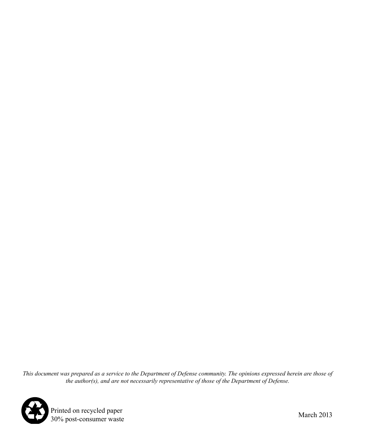*This document was prepared as a service to the Department of Defense community. The opinions expressed herein are those of the author(s), and are not necessarily representative of those of the Department of Defense.*



Printed on recycled paper<br>
30% post-consumer waste March 2013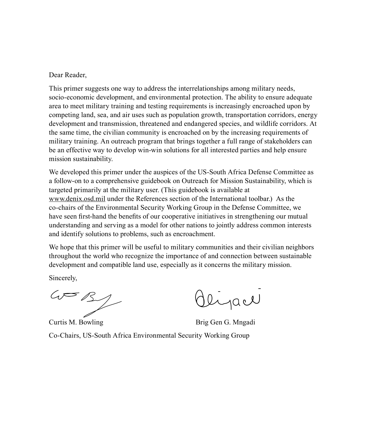Dear Reader,

This primer suggests one way to address the interrelationships among military needs, socio-economic development, and environmental protection. The ability to ensure adequate area to meet military training and testing requirements is increasingly encroached upon by competing land, sea, and air uses such as population growth, transportation corridors, energy development and transmission, threatened and endangered species, and wildlife corridors. At the same time, the civilian community is encroached on by the increasing requirements of military training. An outreach program that brings together a full range of stakeholders can be an effective way to develop win-win solutions for all interested parties and help ensure mission sustainability.

We developed this primer under the auspices of the US-South Africa Defense Committee as a follow-on to a comprehensive guidebook on Outreach for Mission Sustainability, which is targeted primarily at the military user. (This guidebook is available at www.denix.osd.mil under the References section of the International toolbar.) As the co-chairs of the Environmental Security Working Group in the Defense Committee, we have seen first-hand the benefits of our cooperative initiatives in strengthening our mutual understanding and serving as a model for other nations to jointly address common interests and identify solutions to problems, such as encroachment.

We hope that this primer will be useful to military communities and their civilian neighbors throughout the world who recognize the importance of and connection between sustainable development and compatible land use, especially as it concerns the military mission.

Sincerely,

 $\omega = \sqrt{3}$ 

Olijace

Curtis M. Bowling Curtis M. Brig Gen G. Mngadi

Co-Chairs, US-South Africa Environmental Security Working Group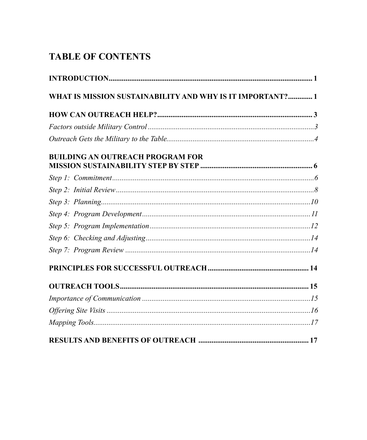# **TABLE OF CONTENTS**

| WHAT IS MISSION SUSTAINABILITY AND WHY IS IT IMPORTANT? 1 |  |
|-----------------------------------------------------------|--|
|                                                           |  |
|                                                           |  |
|                                                           |  |
| <b>BUILDING AN OUTREACH PROGRAM FOR</b>                   |  |
|                                                           |  |
|                                                           |  |
|                                                           |  |
|                                                           |  |
|                                                           |  |
|                                                           |  |
|                                                           |  |
|                                                           |  |
|                                                           |  |
|                                                           |  |
|                                                           |  |
|                                                           |  |
|                                                           |  |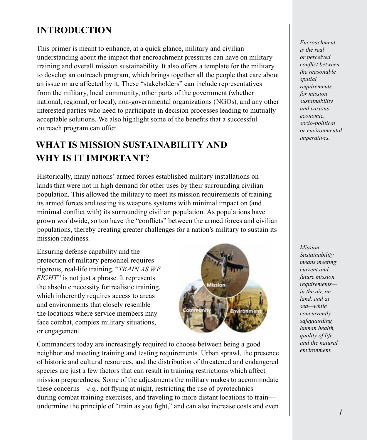# **INTRODUCTION**

This primer is meant to enhance, at a quick glance, military and civilian understanding about the impact that encroachment pressures can have on military training and overall mission sustainability. It also offers a template for the military to develop an outreach program, which brings together all the people that care about an issue or are affected by it. These "stakeholders" can include representatives from the military, local community, other parts of the government (whether national, regional, or local), non-governmental organizations (NGOs), and any other interested parties who need to participate in decision processes leading to mutually acceptable solutions. We also highlight some of the benefits that a successful outreach program can offer.

# **WHAT IS MISSION SUSTAINABILITY AND WHY IS IT IMPORTANT?**

Historically, many nations' armed forces established military installations on lands that were not in high demand for other uses by their surrounding civilian population. This allowed the military to meet its mission requirements of training its armed forces and testing its weapons systems with minimal impact on (and minimal conflict with) its surrounding civilian population. As populations have grown worldwide, so too have the "conflicts" between the armed forces and civilian populations, thereby creating greater challenges for a nation's military to sustain its mission readiness.

Ensuring defense capability and the protection of military personnel requires rigorous, real-life training. "*TRAIN AS WE FIGHT*" is not just a phrase. It represents the absolute necessity for realistic training, which inherently requires access to areas and environments that closely resemble the locations where service members may face combat, complex military situations, or engagement.



Commanders today are increasingly required to choose between being a good neighbor and meeting training and testing requirements. Urban sprawl, the presence of historic and cultural resources, and the distribution of threatened and endangered species are just a few factors that can result in training restrictions which affect mission preparedness. Some of the adjustments the military makes to accommodate these concerns—*e.g.,* not flying at night, restricting the use of pyrotechnics during combat training exercises, and traveling to more distant locations to train undermine the principle of "train as you fight," and can also increase costs and even

*Encroachment is the real or perceived conflict between the reasonable spatial requirements for mission sustainability and various economic, socio-political or environmental imperatives.*

*Mission Sustainability means meeting current and future mission requirements in the air, on land, and at sea—while concurrently safeguarding human health, quality of life, and the natural environment.*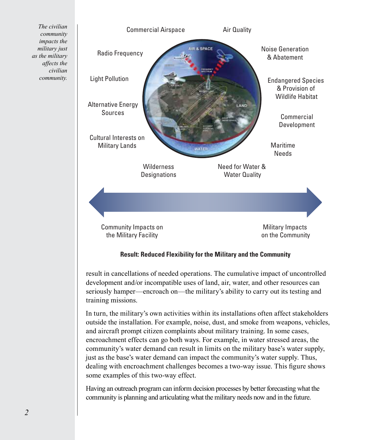

**Result: Reduced Flexibility for the Military and the Community**

result in cancellations of needed operations. The cumulative impact of uncontrolled development and/or incompatible uses of land, air, water, and other resources can seriously hamper—encroach on—the military's ability to carry out its testing and training missions.

In turn, the military's own activities within its installations often affect stakeholders outside the installation. For example, noise, dust, and smoke from weapons, vehicles, and aircraft prompt citizen complaints about military training. In some cases, encroachment effects can go both ways. For example, in water stressed areas, the community's water demand can result in limits on the military base's water supply, just as the base's water demand can impact the community's water supply. Thus, dealing with encroachment challenges becomes a two-way issue. This figure shows some examples of this two-way effect.

Having an outreach program can inform decision processes by better forecasting what the community is planning and articulating what the military needs now and in the future.

*The civilian community impacts the military just as the military affects the civilian community.*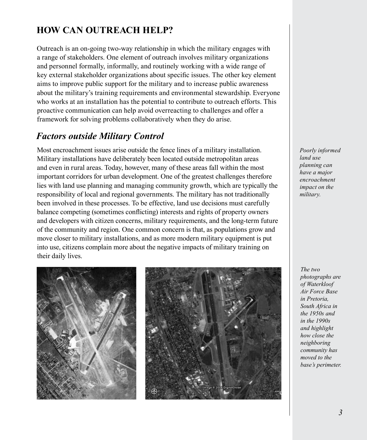# **HOW CAN OUTREACH HELP?**

Outreach is an on-going two-way relationship in which the military engages with a range of stakeholders. One element of outreach involves military organizations and personnel formally, informally, and routinely working with a wide range of key external stakeholder organizations about specific issues. The other key element aims to improve public support for the military and to increase public awareness about the military's training requirements and environmental stewardship. Everyone who works at an installation has the potential to contribute to outreach efforts. This proactive communication can help avoid overreacting to challenges and offer a framework for solving problems collaboratively when they do arise.

#### *Factors outside Military Control*

Most encroachment issues arise outside the fence lines of a military installation. Military installations have deliberately been located outside metropolitan areas and even in rural areas. Today, however, many of these areas fall within the most important corridors for urban development. One of the greatest challenges therefore lies with land use planning and managing community growth, which are typically the responsibility of local and regional governments. The military has not traditionally been involved in these processes. To be effective, land use decisions must carefully balance competing (sometimes conflicting) interests and rights of property owners and developers with citizen concerns, military requirements, and the long-term future of the community and region. One common concern is that, as populations grow and move closer to military installations, and as more modern military equipment is put into use, citizens complain more about the negative impacts of military training on their daily lives.



*Poorly informed land use planning can have a major encroachment impact on the military.*

*The two photographs are of Waterkloof Air Force Base in Pretoria, South Africa in the 1950s and in the 1990s and highlight how close the neighboring community has moved to the base's perimeter.*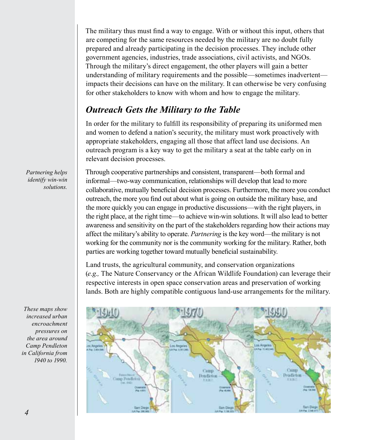The military thus must find a way to engage. With or without this input, others that are competing for the same resources needed by the military are no doubt fully prepared and already participating in the decision processes. They include other government agencies, industries, trade associations, civil activists, and NGOs. Through the military's direct engagement, the other players will gain a better understanding of military requirements and the possible—sometimes inadvertent impacts their decisions can have on the military. It can otherwise be very confusing for other stakeholders to know with whom and how to engage the military.

#### *Outreach Gets the Military to the Table*

In order for the military to fulfill its responsibility of preparing its uniformed men and women to defend a nation's security, the military must work proactively with appropriate stakeholders, engaging all those that affect land use decisions. An outreach program is a key way to get the military a seat at the table early on in relevant decision processes.

Through cooperative partnerships and consistent, transparent—both formal and informal—two-way communication, relationships will develop that lead to more collaborative, mutually beneficial decision processes. Furthermore, the more you conduct outreach, the more you find out about what is going on outside the military base, and the more quickly you can engage in productive discussions—with the right players, in the right place, at the right time—to achieve win-win solutions. It will also lead to better awareness and sensitivity on the part of the stakeholders regarding how their actions may affect the military's ability to operate. *Partnering* is the key word—the military is not working for the community nor is the community working for the military. Rather, both parties are working together toward mutually beneficial sustainability.

Land trusts, the agricultural community, and conservation organizations (*e.g.,* The Nature Conservancy or the African Wildlife Foundation) can leverage their respective interests in open space conservation areas and preservation of working lands. Both are highly compatible contiguous land-use arrangements for the military.



*Partnering helps identify win-win solutions.*

*These maps show increased urban encroachment pressures on the area around Camp Pendleton in California from 1940 to 1990.*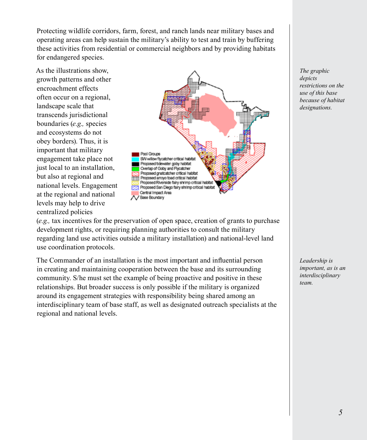Protecting wildlife corridors, farm, forest, and ranch lands near military bases and operating areas can help sustain the military's ability to test and train by buffering these activities from residential or commercial neighbors and by providing habitats for endangered species.

As the illustrations show, growth patterns and other encroachment effects often occur on a regional, landscape scale that transcends jurisdictional boundaries (*e.g.,* species and ecosystems do not obey borders). Thus, it is important that military engagement take place not just local to an installation, but also at regional and national levels. Engagement at the regional and national levels may help to drive centralized policies



(*e.g.,* tax incentives for the preservation of open space, creation of grants to purchase development rights, or requiring planning authorities to consult the military regarding land use activities outside a military installation) and national-level land use coordination protocols.

The Commander of an installation is the most important and influential person in creating and maintaining cooperation between the base and its surrounding community. S/he must set the example of being proactive and positive in these relationships. But broader success is only possible if the military is organized around its engagement strategies with responsibility being shared among an interdisciplinary team of base staff, as well as designated outreach specialists at the regional and national levels.

*The graphic depicts restrictions on the use of this base because of habitat designations.*

*Leadership is important, as is an interdisciplinary team.*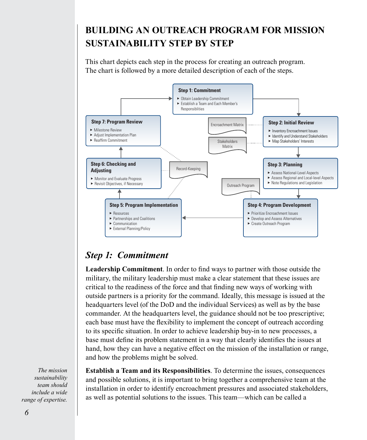# **BUILDING AN OUTREACH PROGRAM FOR MISSION SUSTAINABILITY STEP BY STEP**

This chart depicts each step in the process for creating an outreach program. The chart is followed by a more detailed description of each of the steps.



# *Step 1: Commitment*

**Leadership Commitment**. In order to find ways to partner with those outside the military, the military leadership must make a clear statement that these issues are critical to the readiness of the force and that finding new ways of working with outside partners is a priority for the command. Ideally, this message is issued at the headquarters level (of the DoD and the individual Services) as well as by the base commander. At the headquarters level, the guidance should not be too prescriptive; each base must have the flexibility to implement the concept of outreach according to its specific situation. In order to achieve leadership buy-in to new processes, a base must define its problem statement in a way that clearly identifies the issues at hand, how they can have a negative effect on the mission of the installation or range, and how the problems might be solved.

**Establish a Team and its Responsibilities**. To determine the issues, consequences and possible solutions, it is important to bring together a comprehensive team at the installation in order to identify encroachment pressures and associated stakeholders, as well as potential solutions to the issues. This team—which can be called a

*The mission sustainability team should include a wide range of expertise.*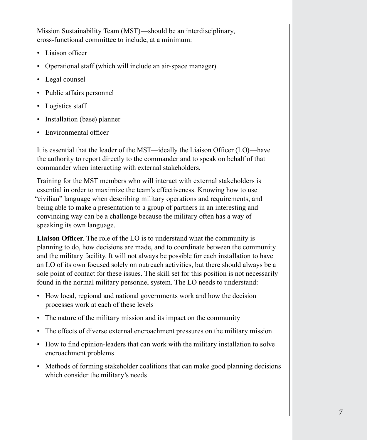Mission Sustainability Team (MST)—should be an interdisciplinary, cross-functional committee to include, at a minimum:

- Liaison officer
- Operational staff (which will include an air-space manager)
- Legal counsel
- Public affairs personnel
- Logistics staff
- Installation (base) planner
- Environmental officer

It is essential that the leader of the MST—ideally the Liaison Officer (LO)—have the authority to report directly to the commander and to speak on behalf of that commander when interacting with external stakeholders.

Training for the MST members who will interact with external stakeholders is essential in order to maximize the team's effectiveness. Knowing how to use "civilian" language when describing military operations and requirements, and being able to make a presentation to a group of partners in an interesting and convincing way can be a challenge because the military often has a way of speaking its own language.

**Liaison Officer**. The role of the LO is to understand what the community is planning to do, how decisions are made, and to coordinate between the community and the military facility. It will not always be possible for each installation to have an LO of its own focused solely on outreach activities, but there should always be a sole point of contact for these issues. The skill set for this position is not necessarily found in the normal military personnel system. The LO needs to understand:

- How local, regional and national governments work and how the decision processes work at each of these levels
- The nature of the military mission and its impact on the community
- The effects of diverse external encroachment pressures on the military mission
- How to find opinion-leaders that can work with the military installation to solve encroachment problems
- Methods of forming stakeholder coalitions that can make good planning decisions which consider the military's needs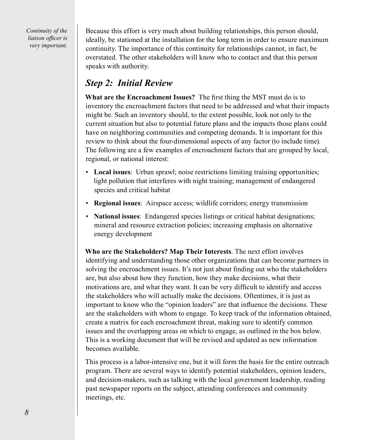*Continuity of the liaison officer is very important.*

Because this effort is very much about building relationships, this person should, ideally, be stationed at the installation for the long term in order to ensure maximum continuity. The importance of this continuity for relationships cannot, in fact, be overstated. The other stakeholders will know who to contact and that this person speaks with authority.

#### *Step 2: Initial Review*

**What are the Encroachment Issues?** The first thing the MST must do is to inventory the encroachment factors that need to be addressed and what their impacts might be. Such an inventory should, to the extent possible, look not only to the current situation but also to potential future plans and the impacts those plans could have on neighboring communities and competing demands. It is important for this review to think about the four-dimensional aspects of any factor (to include time). The following are a few examples of encroachment factors that are grouped by local, regional, or national interest:

- **Local issues**: Urban sprawl; noise restrictions limiting training opportunities; light pollution that interferes with night training; management of endangered species and critical habitat
- **Regional issues**: Airspace access; wildlife corridors; energy transmission
- **National issues**: Endangered species listings or critical habitat designations; mineral and resource extraction policies; increasing emphasis on alternative energy development

**Who are the Stakeholders? Map Their Interests**. The next effort involves identifying and understanding those other organizations that can become partners in solving the encroachment issues. It's not just about finding out who the stakeholders are, but also about how they function, how they make decisions, what their motivations are, and what they want. It can be very difficult to identify and access the stakeholders who will actually make the decisions. Oftentimes, it is just as important to know who the "opinion leaders" are that influence the decisions. These are the stakeholders with whom to engage. To keep track of the information obtained, create a matrix for each encroachment threat, making sure to identify common issues and the overlapping areas on which to engage, as outlined in the box below. This is a working document that will be revised and updated as new information becomes available.

This process is a labor-intensive one, but it will form the basis for the entire outreach program. There are several ways to identify potential stakeholders, opinion leaders, and decision-makers, such as talking with the local government leadership, reading past newspaper reports on the subject, attending conferences and community meetings, etc.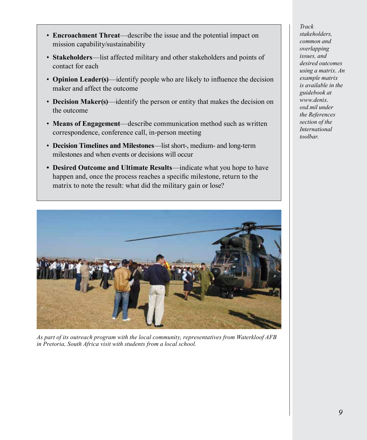- **Encroachment Threat**—describe the issue and the potential impact on mission capability/sustainability
- **Stakeholders**—list affected military and other stakeholders and points of contact for each
- **Opinion Leader(s)**—identify people who are likely to influence the decision maker and affect the outcome
- **Decision Maker(s)**—identify the person or entity that makes the decision on the outcome
- **Means of Engagement**—describe communication method such as written correspondence, conference call, in-person meeting
- **Decision Timelines and Milestones**—list short-, medium- and long-term milestones and when events or decisions will occur
- **• Desired Outcome and Ultimate Results**—indicate what you hope to have happen and, once the process reaches a specific milestone, return to the matrix to note the result: what did the military gain or lose?



*As part of its outreach program with the local community, representatives from Waterkloof AFB in Pretoria, South Africa visit with students from a local school.*

*Track stakeholders, common and overlapping issues, and desired outcomes using a matrix. An example matrix is available in the guidebook at www.denix. osd.mil under the References section of the International toolbar.*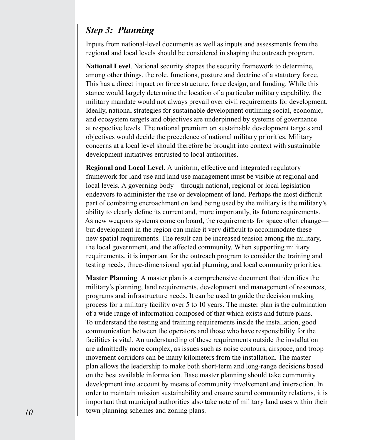#### *Step 3: Planning*

Inputs from national-level documents as well as inputs and assessments from the regional and local levels should be considered in shaping the outreach program.

**National Level**. National security shapes the security framework to determine, among other things, the role, functions, posture and doctrine of a statutory force. This has a direct impact on force structure, force design, and funding. While this stance would largely determine the location of a particular military capability, the military mandate would not always prevail over civil requirements for development. Ideally, national strategies for sustainable development outlining social, economic, and ecosystem targets and objectives are underpinned by systems of governance at respective levels. The national premium on sustainable development targets and objectives would decide the precedence of national military priorities. Military concerns at a local level should therefore be brought into context with sustainable development initiatives entrusted to local authorities.

**Regional and Local Level**. A uniform, effective and integrated regulatory framework for land use and land use management must be visible at regional and local levels. A governing body—through national, regional or local legislation endeavors to administer the use or development of land. Perhaps the most difficult part of combating encroachment on land being used by the military is the military's ability to clearly define its current and, more importantly, its future requirements. As new weapons systems come on board, the requirements for space often change but development in the region can make it very difficult to accommodate these new spatial requirements. The result can be increased tension among the military, the local government, and the affected community. When supporting military requirements, it is important for the outreach program to consider the training and testing needs, three-dimensional spatial planning, and local community priorities.

**Master Planning**. A master plan is a comprehensive document that identifies the military's planning, land requirements, development and management of resources, programs and infrastructure needs. It can be used to guide the decision making process for a military facility over 5 to 10 years. The master plan is the culmination of a wide range of information composed of that which exists and future plans. To understand the testing and training requirements inside the installation, good communication between the operators and those who have responsibility for the facilities is vital. An understanding of these requirements outside the installation are admittedly more complex, as issues such as noise contours, airspace, and troop movement corridors can be many kilometers from the installation. The master plan allows the leadership to make both short-term and long-range decisions based on the best available information. Base master planning should take community development into account by means of community involvement and interaction. In order to maintain mission sustainability and ensure sound community relations, it is important that municipal authorities also take note of military land uses within their town planning schemes and zoning plans.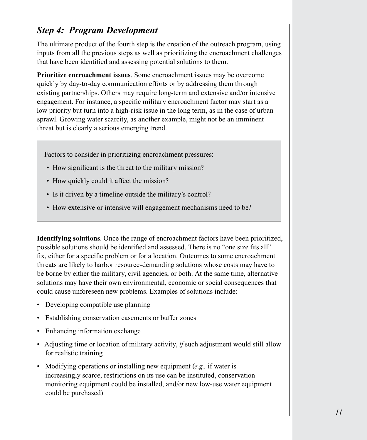#### *Step 4: Program Development*

The ultimate product of the fourth step is the creation of the outreach program, using inputs from all the previous steps as well as prioritizing the encroachment challenges that have been identified and assessing potential solutions to them.

**Prioritize encroachment issues**. Some encroachment issues may be overcome quickly by day-to-day communication efforts or by addressing them through existing partnerships. Others may require long-term and extensive and/or intensive engagement. For instance, a specific military encroachment factor may start as a low priority but turn into a high-risk issue in the long term, as in the case of urban sprawl. Growing water scarcity, as another example, might not be an imminent threat but is clearly a serious emerging trend.

Factors to consider in prioritizing encroachment pressures:

- How significant is the threat to the military mission?
- How quickly could it affect the mission?
- Is it driven by a timeline outside the military's control?
- How extensive or intensive will engagement mechanisms need to be?

**Identifying solutions**. Once the range of encroachment factors have been prioritized, possible solutions should be identified and assessed. There is no "one size fits all" fix, either for a specific problem or for a location. Outcomes to some encroachment threats are likely to harbor resource-demanding solutions whose costs may have to be borne by either the military, civil agencies, or both. At the same time, alternative solutions may have their own environmental, economic or social consequences that could cause unforeseen new problems. Examples of solutions include:

- Developing compatible use planning
- Establishing conservation easements or buffer zones
- Enhancing information exchange
- Adjusting time or location of military activity, *if* such adjustment would still allow for realistic training
- Modifying operations or installing new equipment (*e.g.,* if water is increasingly scarce, restrictions on its use can be instituted, conservation monitoring equipment could be installed, and/or new low-use water equipment could be purchased)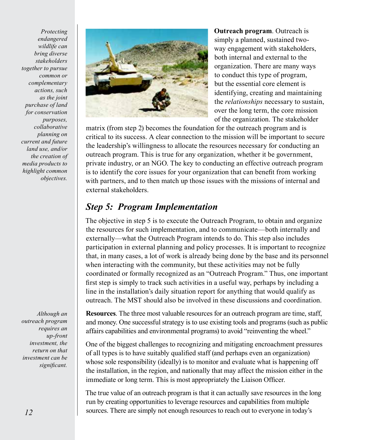*Protecting endangered wildlife can bring diverse stakeholders together to pursue common or complementary actions, such as the joint purchase of land for conservation purposes, collaborative planning on current and future land use, and/or the creation of media products to highlight common objectives.*

*Although an outreach program requires an up-front investment, the return on that investment can be significant.*



**Outreach program**. Outreach is simply a planned, sustained twoway engagement with stakeholders, both internal and external to the organization. There are many ways to conduct this type of program, but the essential core element is identifying, creating and maintaining the *relationships* necessary to sustain, over the long term, the core mission of the organization. The stakeholder

matrix (from step 2) becomes the foundation for the outreach program and is critical to its success. A clear connection to the mission will be important to secure the leadership's willingness to allocate the resources necessary for conducting an outreach program. This is true for any organization, whether it be government, private industry, or an NGO. The key to conducting an effective outreach program is to identify the core issues for your organization that can benefit from working with partners, and to then match up those issues with the missions of internal and external stakeholders.

#### *Step 5: Program Implementation*

The objective in step 5 is to execute the Outreach Program, to obtain and organize the resources for such implementation, and to communicate—both internally and externally—what the Outreach Program intends to do. This step also includes participation in external planning and policy processes. It is important to recognize that, in many cases, a lot of work is already being done by the base and its personnel when interacting with the community, but these activities may not be fully coordinated or formally recognized as an "Outreach Program." Thus, one important first step is simply to track such activities in a useful way, perhaps by including a line in the installation's daily situation report for anything that would qualify as outreach. The MST should also be involved in these discussions and coordination.

**Resources**. The three most valuable resources for an outreach program are time, staff, and money. One successful strategy is to use existing tools and programs (such as public affairs capabilities and environmental programs) to avoid "reinventing the wheel."

One of the biggest challenges to recognizing and mitigating encroachment pressures of all types is to have suitably qualified staff (and perhaps even an organization) whose sole responsibility (ideally) is to monitor and evaluate what is happening off the installation, in the region, and nationally that may affect the mission either in the immediate or long term. This is most appropriately the Liaison Officer.

The true value of an outreach program is that it can actually save resources in the long run by creating opportunities to leverage resources and capabilities from multiple sources. There are simply not enough resources to reach out to everyone in today's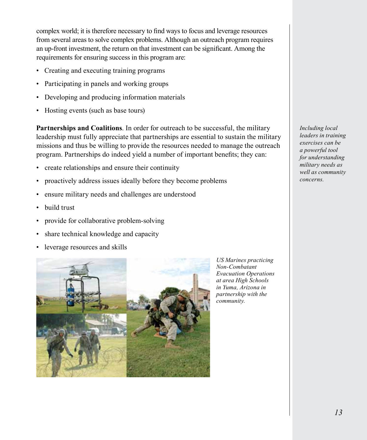complex world; it is therefore necessary to find ways to focus and leverage resources from several areas to solve complex problems. Although an outreach program requires an up-front investment, the return on that investment can be significant. Among the requirements for ensuring success in this program are:

- Creating and executing training programs
- Participating in panels and working groups
- Developing and producing information materials
- Hosting events (such as base tours)

**Partnerships and Coalitions**. In order for outreach to be successful, the military leadership must fully appreciate that partnerships are essential to sustain the military missions and thus be willing to provide the resources needed to manage the outreach program. Partnerships do indeed yield a number of important benefits; they can:

- create relationships and ensure their continuity
- proactively address issues ideally before they become problems
- ensure military needs and challenges are understood
- build trust
- provide for collaborative problem-solving
- share technical knowledge and capacity
- leverage resources and skills



*US Marines practicing Non-Combatant Evacuation Operations at area High Schools in Yuma, Arizona in partnership with the community.*

*Including local leaders in training exercises can be a powerful tool for understanding military needs as well as community concerns.*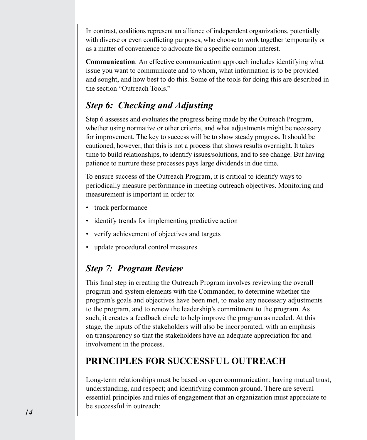In contrast, coalitions represent an alliance of independent organizations, potentially with diverse or even conflicting purposes, who choose to work together temporarily or as a matter of convenience to advocate for a specific common interest.

**Communication**. An effective communication approach includes identifying what issue you want to communicate and to whom, what information is to be provided and sought, and how best to do this. Some of the tools for doing this are described in the section "Outreach Tools."

# *Step 6: Checking and Adjusting*

Step 6 assesses and evaluates the progress being made by the Outreach Program, whether using normative or other criteria, and what adjustments might be necessary for improvement. The key to success will be to show steady progress. It should be cautioned, however, that this is not a process that shows results overnight. It takes time to build relationships, to identify issues/solutions, and to see change. But having patience to nurture these processes pays large dividends in due time.

To ensure success of the Outreach Program, it is critical to identify ways to periodically measure performance in meeting outreach objectives. Monitoring and measurement is important in order to:

- track performance
- identify trends for implementing predictive action
- verify achievement of objectives and targets
- update procedural control measures

# *Step 7: Program Review*

This final step in creating the Outreach Program involves reviewing the overall program and system elements with the Commander, to determine whether the program's goals and objectives have been met, to make any necessary adjustments to the program, and to renew the leadership's commitment to the program. As such, it creates a feedback circle to help improve the program as needed. At this stage, the inputs of the stakeholders will also be incorporated, with an emphasis on transparency so that the stakeholders have an adequate appreciation for and involvement in the process.

# **PRINCIPLES FOR SUCCESSFUL OUTREACH**

Long-term relationships must be based on open communication; having mutual trust, understanding, and respect; and identifying common ground. There are several essential principles and rules of engagement that an organization must appreciate to be successful in outreach: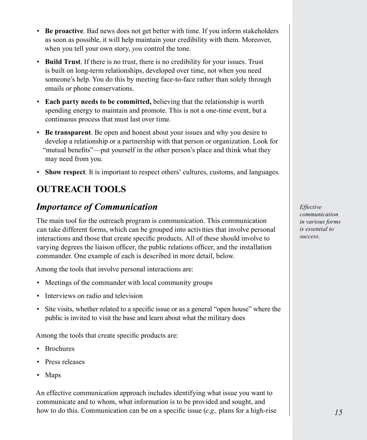- **Be proactive**. Bad news does not get better with time. If you inform stakeholders as soon as possible, it will help maintain your credibility with them. Moreover, when you tell your own story, *you* control the tone.
- **Build Trust**. If there is no trust, there is no credibility for your issues. Trust is built on long-term relationships, developed over time, not when you need someone's help. You do this by meeting face-to-face rather than solely through emails or phone conservations.
- **Each party needs to be committed,** believing that the relationship is worth spending energy to maintain and promote. This is not a one-time event, but a continuous process that must last over time.
- **Be transparent**. Be open and honest about your issues and why you desire to develop a relationship or a partnership with that person or organization. Look for "mutual benefits"—put yourself in the other person's place and think what they may need from you.
- **Show respect**. It is important to respect others' cultures, customs, and languages.

# **OUTREACH TOOLS**

### *Importance of Communication*

The main tool for the outreach program is communication. This communication can take different forms, which can be grouped into activities that involve personal interactions and those that create specific products. All of these should involve to varying degrees the liaison officer, the public relations officer, and the installation commander. One example of each is described in more detail, below.

Among the tools that involve personal interactions are:

- Meetings of the commander with local community groups
- Interviews on radio and television
- Site visits, whether related to a specific issue or as a general "open house" where the public is invited to visit the base and learn about what the military does

Among the tools that create specific products are:

- Brochures
- Press releases
- Maps

An effective communication approach includes identifying what issue you want to communicate and to whom, what information is to be provided and sought, and how to do this. Communication can be on a specific issue (*e.g.,* plans for a high-rise

*Effective communication in various forms is essential to success.*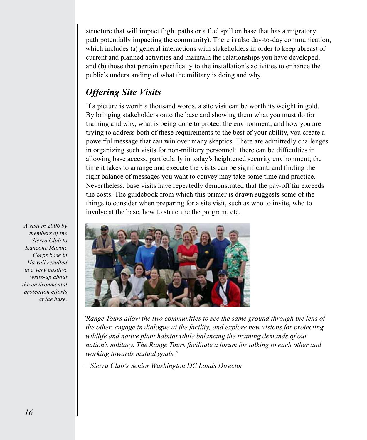structure that will impact flight paths or a fuel spill on base that has a migratory path potentially impacting the community). There is also day-to-day communication, which includes (a) general interactions with stakeholders in order to keep abreast of current and planned activities and maintain the relationships you have developed, and (b) those that pertain specifically to the installation's activities to enhance the public's understanding of what the military is doing and why.

# *Offering Site Visits*

If a picture is worth a thousand words, a site visit can be worth its weight in gold. By bringing stakeholders onto the base and showing them what you must do for training and why, what is being done to protect the environment, and how you are trying to address both of these requirements to the best of your ability, you create a powerful message that can win over many skeptics. There are admittedly challenges in organizing such visits for non-military personnel: there can be difficulties in allowing base access, particularly in today's heightened security environment; the time it takes to arrange and execute the visits can be significant; and finding the right balance of messages you want to convey may take some time and practice. Nevertheless, base visits have repeatedly demonstrated that the pay-off far exceeds the costs. The guidebook from which this primer is drawn suggests some of the things to consider when preparing for a site visit, such as who to invite, who to involve at the base, how to structure the program, etc.

*A visit in 2006 by members of the Sierra Club to Kaneohe Marine Corps base in Hawaii resulted in a very positive write-up about the environmental protection efforts at the base.*



*"Range Tours allow the two communities to see the same ground through the lens of the other, engage in dialogue at the facility, and explore new visions for protecting wildlife and native plant habitat while balancing the training demands of our nation's military. The Range Tours facilitate a forum for talking to each other and working towards mutual goals."*

*—Sierra Club's Senior Washington DC Lands Director*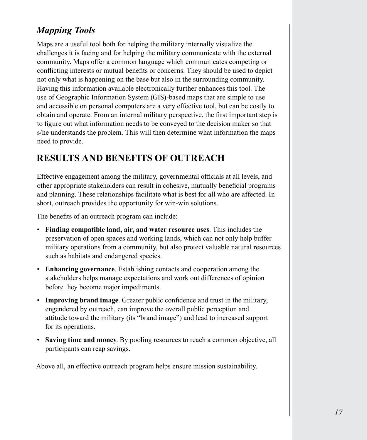# *Mapping Tools*

Maps are a useful tool both for helping the military internally visualize the challenges it is facing and for helping the military communicate with the external community. Maps offer a common language which communicates competing or conflicting interests or mutual benefits or concerns. They should be used to depict not only what is happening on the base but also in the surrounding community. Having this information available electronically further enhances this tool. The use of Geographic Information System (GIS)-based maps that are simple to use and accessible on personal computers are a very effective tool, but can be costly to obtain and operate. From an internal military perspective, the first important step is to figure out what information needs to be conveyed to the decision maker so that s/he understands the problem. This will then determine what information the maps need to provide.

#### **RESULTS AND BENEFITS OF OUTREACH**

Effective engagement among the military, governmental officials at all levels, and other appropriate stakeholders can result in cohesive, mutually beneficial programs and planning. These relationships facilitate what is best for all who are affected. In short, outreach provides the opportunity for win-win solutions.

The benefits of an outreach program can include:

- **Finding compatible land, air, and water resource uses**. This includes the preservation of open spaces and working lands, which can not only help buffer military operations from a community, but also protect valuable natural resources such as habitats and endangered species.
- **Enhancing governance**. Establishing contacts and cooperation among the stakeholders helps manage expectations and work out differences of opinion before they become major impediments.
- **Improving brand image**. Greater public confidence and trust in the military, engendered by outreach, can improve the overall public perception and attitude toward the military (its "brand image") and lead to increased support for its operations.
- **Saving time and money**. By pooling resources to reach a common objective, all participants can reap savings.

Above all, an effective outreach program helps ensure mission sustainability.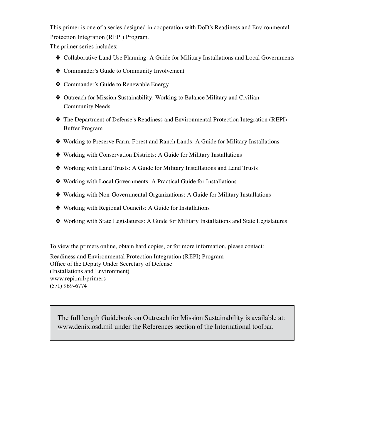This primer is one of a series designed in cooperation with DoD's Readiness and Environmental Protection Integration (REPI) Program.

The primer series includes:

- ✤ Collaborative Land Use Planning: A Guide for Military Installations and Local Governments
- ✤ Commander's Guide to Community Involvement
- ✤ Commander's Guide to Renewable Energy
- ✤ Outreach for Mission Sustainability: Working to Balance Military and Civilian Community Needs
- ✤ The Department of Defense's Readiness and Environmental Protection Integration (REPI) Buffer Program
- ✤ Working to Preserve Farm, Forest and Ranch Lands: A Guide for Military Installations
- ✤ Working with Conservation Districts: A Guide for Military Installations
- ✤ Working with Land Trusts: A Guide for Military Installations and Land Trusts
- ✤ Working with Local Governments: A Practical Guide for Installations
- ✤ Working with Non-Governmental Organizations: A Guide for Military Installations
- ✤ Working with Regional Councils: A Guide for Installations
- ✤ Working with State Legislatures: A Guide for Military Installations and State Legislatures

To view the primers online, obtain hard copies, or for more information, please contact:

Readiness and Environmental Protection Integration (REPI) Program Office of the Deputy Under Secretary of Defense (Installations and Environment) <www.repi.mil/primers> (571) 969-6774

The full length Guidebook on Outreach for Mission Sustainability is available at: www.denix.osd.mil under the References section of the International toolbar.